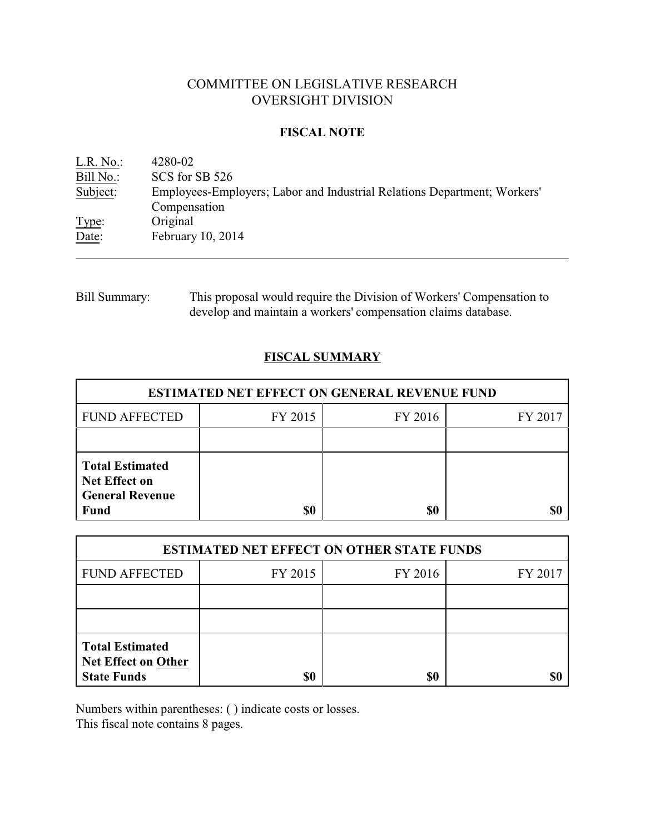# COMMITTEE ON LEGISLATIVE RESEARCH OVERSIGHT DIVISION

## **FISCAL NOTE**

<u>L.R. No.:</u> 4280-02<br>Bill No.: SCS for : SCS for SB 526 Subject: Employees-Employers; Labor and Industrial Relations Department; Workers' Compensation Type: Original Date: February 10, 2014

Bill Summary: This proposal would require the Division of Workers' Compensation to develop and maintain a workers' compensation claims database.

# **FISCAL SUMMARY**

| <b>ESTIMATED NET EFFECT ON GENERAL REVENUE FUND</b>                                     |         |         |         |  |
|-----------------------------------------------------------------------------------------|---------|---------|---------|--|
| <b>FUND AFFECTED</b>                                                                    | FY 2015 | FY 2016 | FY 2017 |  |
|                                                                                         |         |         |         |  |
| <b>Total Estimated</b><br><b>Net Effect on</b><br><b>General Revenue</b><br><b>Fund</b> | \$0     | \$0     |         |  |

| <b>ESTIMATED NET EFFECT ON OTHER STATE FUNDS</b>                           |         |         |         |  |
|----------------------------------------------------------------------------|---------|---------|---------|--|
| <b>FUND AFFECTED</b>                                                       | FY 2015 | FY 2016 | FY 2017 |  |
|                                                                            |         |         |         |  |
|                                                                            |         |         |         |  |
| <b>Total Estimated</b><br><b>Net Effect on Other</b><br><b>State Funds</b> | \$0     | \$0     |         |  |

Numbers within parentheses: ( ) indicate costs or losses.

This fiscal note contains 8 pages.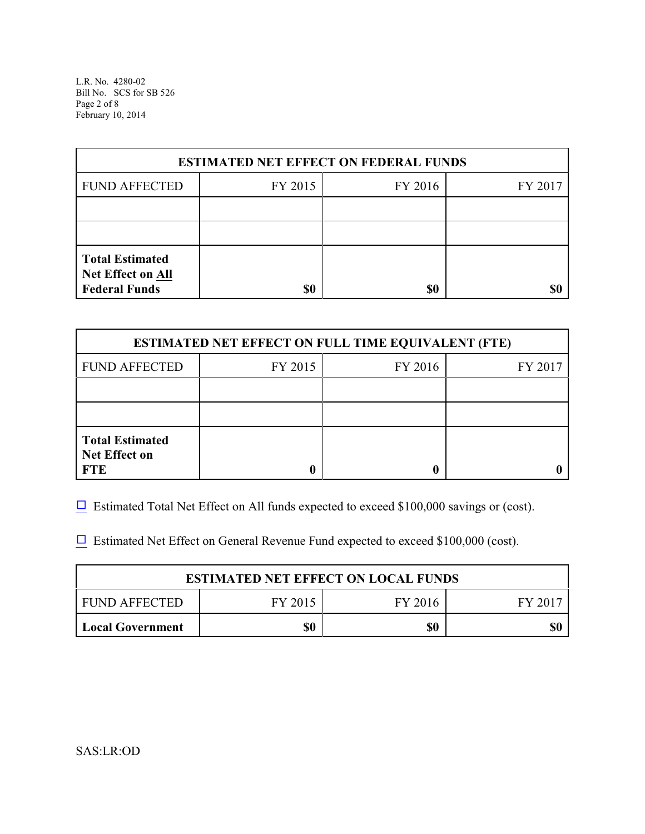L.R. No. 4280-02 Bill No. SCS for SB 526 Page 2 of 8 February 10, 2014

| <b>ESTIMATED NET EFFECT ON FEDERAL FUNDS</b>                        |         |         |         |  |
|---------------------------------------------------------------------|---------|---------|---------|--|
| <b>FUND AFFECTED</b>                                                | FY 2015 | FY 2016 | FY 2017 |  |
|                                                                     |         |         |         |  |
|                                                                     |         |         |         |  |
| <b>Total Estimated</b><br>Net Effect on All<br><b>Federal Funds</b> | \$0     | \$0     | \$C     |  |

| <b>ESTIMATED NET EFFECT ON FULL TIME EQUIVALENT (FTE)</b>    |         |         |         |  |
|--------------------------------------------------------------|---------|---------|---------|--|
| <b>FUND AFFECTED</b>                                         | FY 2015 | FY 2016 | FY 2017 |  |
|                                                              |         |         |         |  |
|                                                              |         |         |         |  |
| <b>Total Estimated</b><br><b>Net Effect on</b><br><b>FTE</b> |         |         |         |  |

 $\Box$  Estimated Total Net Effect on All funds expected to exceed \$100,000 savings or (cost).

 $\Box$  Estimated Net Effect on General Revenue Fund expected to exceed \$100,000 (cost).

| <b>ESTIMATED NET EFFECT ON LOCAL FUNDS</b> |         |         |       |  |
|--------------------------------------------|---------|---------|-------|--|
| FUND AFFECTED                              | FY 2015 | FY 2016 | FV 20 |  |
| <b>Local Government</b>                    | \$0     | \$0     |       |  |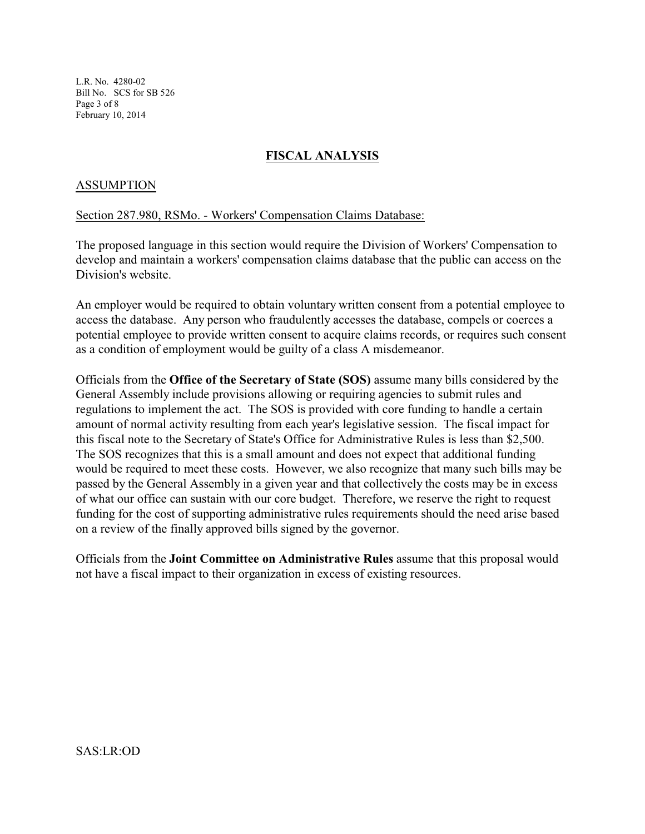L.R. No. 4280-02 Bill No. SCS for SB 526 Page 3 of 8 February 10, 2014

## **FISCAL ANALYSIS**

### ASSUMPTION

#### Section 287.980, RSMo. - Workers' Compensation Claims Database:

The proposed language in this section would require the Division of Workers' Compensation to develop and maintain a workers' compensation claims database that the public can access on the Division's website.

An employer would be required to obtain voluntary written consent from a potential employee to access the database. Any person who fraudulently accesses the database, compels or coerces a potential employee to provide written consent to acquire claims records, or requires such consent as a condition of employment would be guilty of a class A misdemeanor.

Officials from the **Office of the Secretary of State (SOS)** assume many bills considered by the General Assembly include provisions allowing or requiring agencies to submit rules and regulations to implement the act. The SOS is provided with core funding to handle a certain amount of normal activity resulting from each year's legislative session. The fiscal impact for this fiscal note to the Secretary of State's Office for Administrative Rules is less than \$2,500. The SOS recognizes that this is a small amount and does not expect that additional funding would be required to meet these costs. However, we also recognize that many such bills may be passed by the General Assembly in a given year and that collectively the costs may be in excess of what our office can sustain with our core budget. Therefore, we reserve the right to request funding for the cost of supporting administrative rules requirements should the need arise based on a review of the finally approved bills signed by the governor.

Officials from the **Joint Committee on Administrative Rules** assume that this proposal would not have a fiscal impact to their organization in excess of existing resources.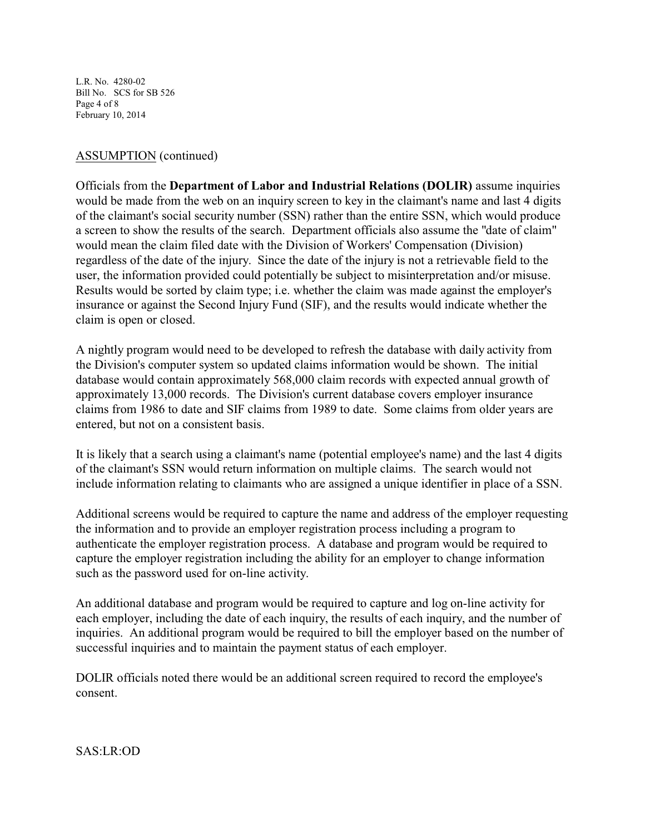L.R. No. 4280-02 Bill No. SCS for SB 526 Page 4 of 8 February 10, 2014

## ASSUMPTION (continued)

Officials from the **Department of Labor and Industrial Relations (DOLIR)** assume inquiries would be made from the web on an inquiry screen to key in the claimant's name and last 4 digits of the claimant's social security number (SSN) rather than the entire SSN, which would produce a screen to show the results of the search. Department officials also assume the "date of claim" would mean the claim filed date with the Division of Workers' Compensation (Division) regardless of the date of the injury. Since the date of the injury is not a retrievable field to the user, the information provided could potentially be subject to misinterpretation and/or misuse. Results would be sorted by claim type; i.e. whether the claim was made against the employer's insurance or against the Second Injury Fund (SIF), and the results would indicate whether the claim is open or closed.

A nightly program would need to be developed to refresh the database with daily activity from the Division's computer system so updated claims information would be shown. The initial database would contain approximately 568,000 claim records with expected annual growth of approximately 13,000 records. The Division's current database covers employer insurance claims from 1986 to date and SIF claims from 1989 to date. Some claims from older years are entered, but not on a consistent basis.

It is likely that a search using a claimant's name (potential employee's name) and the last 4 digits of the claimant's SSN would return information on multiple claims. The search would not include information relating to claimants who are assigned a unique identifier in place of a SSN.

Additional screens would be required to capture the name and address of the employer requesting the information and to provide an employer registration process including a program to authenticate the employer registration process. A database and program would be required to capture the employer registration including the ability for an employer to change information such as the password used for on-line activity.

An additional database and program would be required to capture and log on-line activity for each employer, including the date of each inquiry, the results of each inquiry, and the number of inquiries. An additional program would be required to bill the employer based on the number of successful inquiries and to maintain the payment status of each employer.

DOLIR officials noted there would be an additional screen required to record the employee's consent.

SAS:LR:OD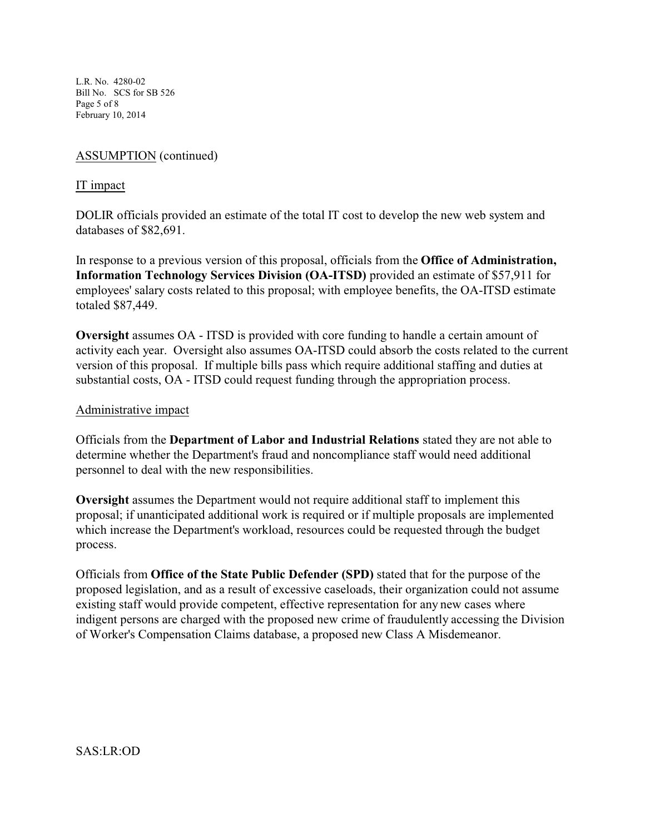L.R. No. 4280-02 Bill No. SCS for SB 526 Page 5 of 8 February 10, 2014

## ASSUMPTION (continued)

### IT impact

DOLIR officials provided an estimate of the total IT cost to develop the new web system and databases of \$82,691.

In response to a previous version of this proposal, officials from the **Office of Administration, Information Technology Services Division (OA-ITSD)** provided an estimate of \$57,911 for employees' salary costs related to this proposal; with employee benefits, the OA-ITSD estimate totaled \$87,449.

**Oversight** assumes OA - ITSD is provided with core funding to handle a certain amount of activity each year. Oversight also assumes OA-ITSD could absorb the costs related to the current version of this proposal. If multiple bills pass which require additional staffing and duties at substantial costs, OA - ITSD could request funding through the appropriation process.

### Administrative impact

Officials from the **Department of Labor and Industrial Relations** stated they are not able to determine whether the Department's fraud and noncompliance staff would need additional personnel to deal with the new responsibilities.

**Oversight** assumes the Department would not require additional staff to implement this proposal; if unanticipated additional work is required or if multiple proposals are implemented which increase the Department's workload, resources could be requested through the budget process.

Officials from **Office of the State Public Defender (SPD)** stated that for the purpose of the proposed legislation, and as a result of excessive caseloads, their organization could not assume existing staff would provide competent, effective representation for any new cases where indigent persons are charged with the proposed new crime of fraudulently accessing the Division of Worker's Compensation Claims database, a proposed new Class A Misdemeanor.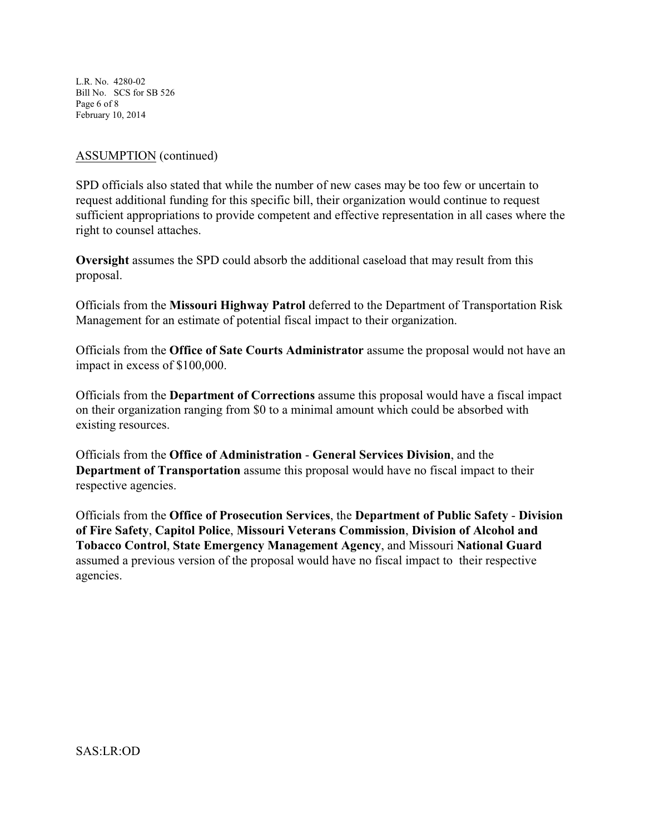L.R. No. 4280-02 Bill No. SCS for SB 526 Page 6 of 8 February 10, 2014

## ASSUMPTION (continued)

SPD officials also stated that while the number of new cases may be too few or uncertain to request additional funding for this specific bill, their organization would continue to request sufficient appropriations to provide competent and effective representation in all cases where the right to counsel attaches.

**Oversight** assumes the SPD could absorb the additional caseload that may result from this proposal.

Officials from the **Missouri Highway Patrol** deferred to the Department of Transportation Risk Management for an estimate of potential fiscal impact to their organization.

Officials from the **Office of Sate Courts Administrator** assume the proposal would not have an impact in excess of \$100,000.

Officials from the **Department of Corrections** assume this proposal would have a fiscal impact on their organization ranging from \$0 to a minimal amount which could be absorbed with existing resources.

Officials from the **Office of Administration** - **General Services Division**, and the **Department of Transportation** assume this proposal would have no fiscal impact to their respective agencies.

Officials from the **Office of Prosecution Services**, the **Department of Public Safety** - **Division of Fire Safety**, **Capitol Police**, **Missouri Veterans Commission**, **Division of Alcohol and Tobacco Control**, **State Emergency Management Agency**, and Missouri **National Guard** assumed a previous version of the proposal would have no fiscal impact to their respective agencies.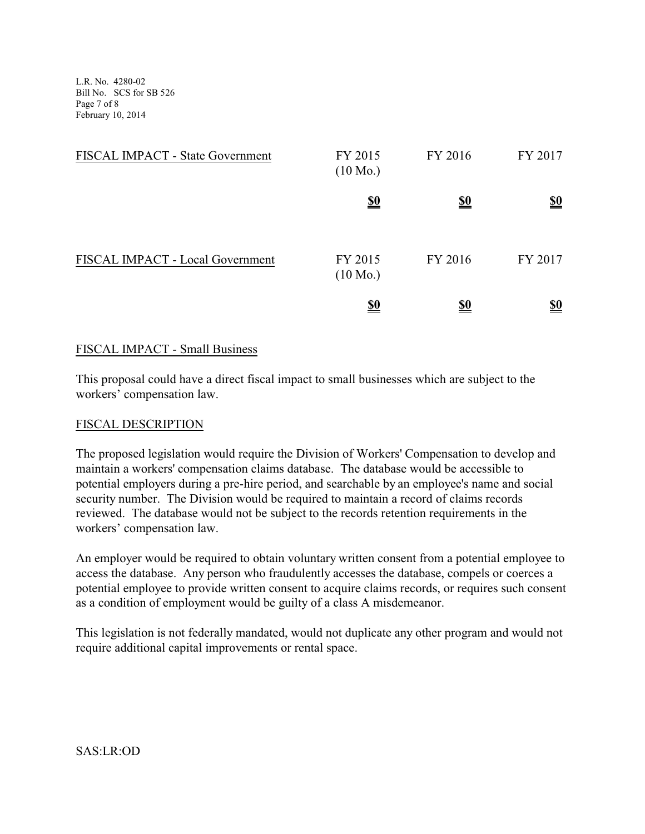L.R. No. 4280-02 Bill No. SCS for SB 526 Page 7 of 8 February 10, 2014

| FISCAL IMPACT - State Government | FY 2015<br>$(10 \text{ Mo.})$ | FY 2016    | FY 2017                       |
|----------------------------------|-------------------------------|------------|-------------------------------|
|                                  | <u>\$0</u>                    | <u>\$0</u> | $\underline{\underline{\$0}}$ |
| FISCAL IMPACT - Local Government | FY 2015<br>$(10 \text{ Mo.})$ | FY 2016    | FY 2017                       |
|                                  | <u>\$0</u>                    | <u>\$0</u> | <u>\$0</u>                    |

## FISCAL IMPACT - Small Business

This proposal could have a direct fiscal impact to small businesses which are subject to the workers' compensation law.

### FISCAL DESCRIPTION

The proposed legislation would require the Division of Workers' Compensation to develop and maintain a workers' compensation claims database. The database would be accessible to potential employers during a pre-hire period, and searchable by an employee's name and social security number. The Division would be required to maintain a record of claims records reviewed. The database would not be subject to the records retention requirements in the workers' compensation law.

An employer would be required to obtain voluntary written consent from a potential employee to access the database. Any person who fraudulently accesses the database, compels or coerces a potential employee to provide written consent to acquire claims records, or requires such consent as a condition of employment would be guilty of a class A misdemeanor.

This legislation is not federally mandated, would not duplicate any other program and would not require additional capital improvements or rental space.